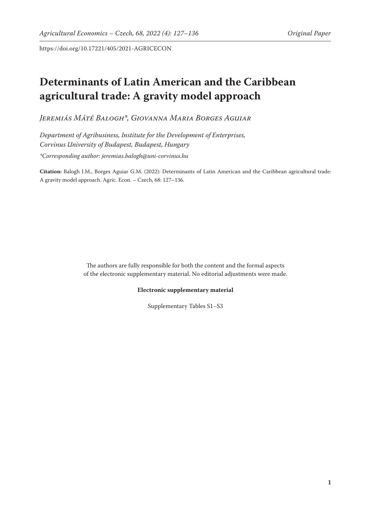https://doi.org/10.17221/405/2021-AGRICECON

# **Determinants of Latin American and the Caribbean agricultural trade: A gravity model approach**

*Jeremiás Máté Balogh\*, Giovanna Maria Borges Aguiar*

*Department of Agribusiness, Institute for the Development of Enterprises, Corvinus University of Budapest, Budapest, Hungary \*Corresponding author: jeremias.balogh@uni-corvinus.hu*

**Citation:** Balogh J.M., Borges Aguiar G.M. (2022): Determinants of Latin American and the Caribbean agricultural trade: A gravity model approach. Agric. Econ. – Czech, 68: 127–136.

> The authors are fully responsible for both the content and the formal aspects of the electronic supplementary material. No editorial adjustments were made.

#### **Electronic supplementary material**

Supplementary Tables S1–S3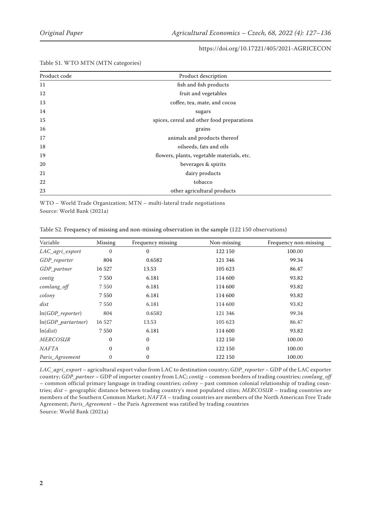#### https://doi.org/10.17221/405/2021-AGRICECON

| Product code | Product description                        |  |  |
|--------------|--------------------------------------------|--|--|
| 11           | fish and fish products                     |  |  |
| 12           | fruit and vegetables                       |  |  |
| 13           | coffee, tea, mate, and cocoa               |  |  |
| 14           | sugars                                     |  |  |
| 15           | spices, cereal and other food preparations |  |  |
| 16           | grains                                     |  |  |
| 17           | animals and products thereof               |  |  |
| 18           | oilseeds, fats and oils                    |  |  |
| 19           | flowers, plants, vegetable materials, etc. |  |  |
| 20           | beverages & spirits                        |  |  |
| 21           | dairy products                             |  |  |
| 22           | tobacco                                    |  |  |
| 23           | other agricultural products                |  |  |

Table S1. WTO MTN (MTN categories)

WTO – World Trade Organization; MTN – multi-lateral trade negotiations Source: World Bank (2021a)

| Table S2. Frequency of missing and non-missing observation in the sample (122 150 observations) |  |  |  |
|-------------------------------------------------------------------------------------------------|--|--|--|
|-------------------------------------------------------------------------------------------------|--|--|--|

| Variable             | Missing      | Frequency missing | Non-missing | Frequency non-missing |
|----------------------|--------------|-------------------|-------------|-----------------------|
| LAC_agri_export      | $\mathbf{0}$ | $\mathbf{0}$      | 122 150     | 100.00                |
| GDP reporter         | 804          | 0.6582            | 121 346     | 99.34                 |
| GDP_partner          | 16 527       | 13.53             | 105 623     | 86.47                 |
| contig               | 7550         | 6.181             | 114 600     | 93.82                 |
| comlang_off          | 7550         | 6.181             | 114 600     | 93.82                 |
| colony               | 7 5 5 0      | 6.181             | 114 600     | 93.82                 |
| dist                 | 7550         | 6.181             | 114 600     | 93.82                 |
| $ln(GDP\_reporter)$  | 804          | 0.6582            | 121 346     | 99.34                 |
| $ln(GDP$ partartner) | 16 527       | 13.53             | 105 623     | 86.47                 |
| ln(dist)             | 7 5 5 0      | 6.181             | 114 600     | 93.82                 |
| <b>MERCOSUR</b>      | $\mathbf{0}$ | $\mathbf{0}$      | 122 150     | 100.00                |
| <b>NAFTA</b>         | $\mathbf{0}$ | $\mathbf{0}$      | 122 150     | 100.00                |
| Paris_Agreement      | $\mathbf{0}$ | $\boldsymbol{0}$  | 122 150     | 100.00                |

*LAC\_agri\_export* – agricultural export value from LAC to destination country; *GDP\_reporter* – GDP of the LAC exporter country; *GDP\_partner* – GDP of importer country from LAC; *contig* – common borders of trading countries; *comlang\_off*  – common official primary language in trading countries; *colony* – past common colonial relationship of trading countries; *dist* – geographic distance between trading country's most populated cities; *MERCOSUR* – trading countries are members of the Southern Common Market; *NAFTA* – trading countries are members of the North American Free Trade Agreement; *Paris\_Agreement* – the Paris Agreement was ratified by trading countries Source: World Bank (2021a)